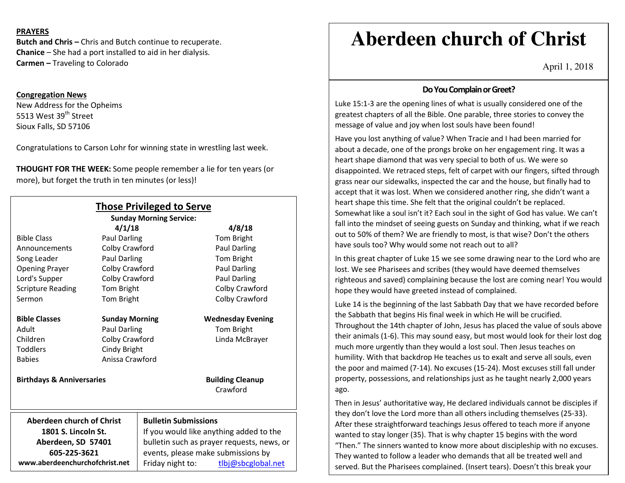## **PRAYERS**

**Butch and Chris –** Chris and Butch continue to recuperate. **Chanice** – She had a port installed to aid in her dialysis.**Carmen –** Traveling to Colorado

## **Congregation News**

 New Address for the Opheims 5513 West 39<sup>th</sup> Street Sioux Falls, SD 57106

Congratulations to Carson Lohr for winning state in wrestling last week.

**THOUGHT FOR THE WEEK:** Some people remember a lie for ten years (or more), but forget the truth in ten minutes (or less)!

| <b>Those Privileged to Serve</b><br><b>Sunday Morning Service:</b> |                       |                                            |                                     |
|--------------------------------------------------------------------|-----------------------|--------------------------------------------|-------------------------------------|
|                                                                    | 4/1/18                |                                            | 4/8/18                              |
| <b>Bible Class</b>                                                 | Paul Darling          |                                            | Tom Bright                          |
| Announcements                                                      | Colby Crawford        |                                            | Paul Darling                        |
| Song Leader                                                        | Paul Darling          |                                            | Tom Bright                          |
| <b>Opening Prayer</b>                                              | Colby Crawford        |                                            | Paul Darling                        |
| Lord's Supper                                                      | Colby Crawford        |                                            | Paul Darling                        |
| <b>Scripture Reading</b>                                           | Tom Bright            |                                            | Colby Crawford                      |
| Sermon                                                             | Tom Bright            |                                            | Colby Crawford                      |
| <b>Bible Classes</b>                                               | <b>Sunday Morning</b> |                                            | <b>Wednesday Evening</b>            |
| Adult                                                              | Paul Darling          |                                            | Tom Bright                          |
| Children                                                           | Colby Crawford        |                                            | Linda McBrayer                      |
| <b>Toddlers</b>                                                    | Cindy Bright          |                                            |                                     |
| <b>Babies</b>                                                      | Anissa Crawford       |                                            |                                     |
| <b>Birthdays &amp; Anniversaries</b>                               |                       |                                            | <b>Building Cleanup</b><br>Crawford |
| <b>Aberdeen church of Christ</b>                                   |                       | <b>Bulletin Submissions</b>                |                                     |
| 1801 S. Lincoln St.                                                |                       | If you would like anything added to the    |                                     |
| Aberdeen, SD 57401                                                 |                       | bulletin such as prayer requests, news, or |                                     |
| 605-225-3621                                                       |                       | events, please make submissions by         |                                     |
| www.aberdeenchurchofchrist.net                                     |                       | Friday night to:                           | tlbj@sbcglobal.net                  |

# **Aberdeen church of Christ**

April 1, 2018

## **Do You Complain or Greet?**

Luke 15:1-3 are the opening lines of what is usually considered one of the greatest chapters of all the Bible. One parable, three stories to convey the message of value and joy when lost souls have been found!

Have you lost anything of value? When Tracie and I had been married for about a decade, one of the prongs broke on her engagement ring. It was a heart shape diamond that was very special to both of us. We were so disappointed. We retraced steps, felt of carpet with our fingers, sifted through grass near our sidewalks, inspected the car and the house, but finally had to accept that it was lost. When we considered another ring, she didn't want a heart shape this time. She felt that the original couldn't be replaced. Somewhat like a soul isn't it? Each soul in the sight of God has value. We can't fall into the mindset of seeing guests on Sunday and thinking, what if we reach out to 50% of them? We are friendly to most, is that wise? Don't the others have souls too? Why would some not reach out to all?

In this great chapter of Luke 15 we see some drawing near to the Lord who are lost. We see Pharisees and scribes (they would have deemed themselves righteous and saved) complaining because the lost are coming near! You would hope they would have greeted instead of complained.

Luke 14 is the beginning of the last Sabbath Day that we have recorded before the Sabbath that begins His final week in which He will be crucified. Throughout the 14th chapter of John, Jesus has placed the value of souls above their animals (1-6). This may sound easy, but most would look for their lost dog much more urgently than they would a lost soul. Then Jesus teaches on humility. With that backdrop He teaches us to exalt and serve all souls, even the poor and maimed (7-14). No excuses (15-24). Most excuses still fall under property, possessions, and relationships just as he taught nearly 2,000 years ago.

Then in Jesus' authoritative way, He declared individuals cannot be disciples if they don't love the Lord more than all others including themselves (25-33). After these straightforward teachings Jesus offered to teach more if anyone wanted to stay longer (35). That is why chapter 15 begins with the word "Then." The sinners wanted to know more about discipleship with no excuses. They wanted to follow a leader who demands that all be treated well and served. But the Pharisees complained. (Insert tears). Doesn't this break your